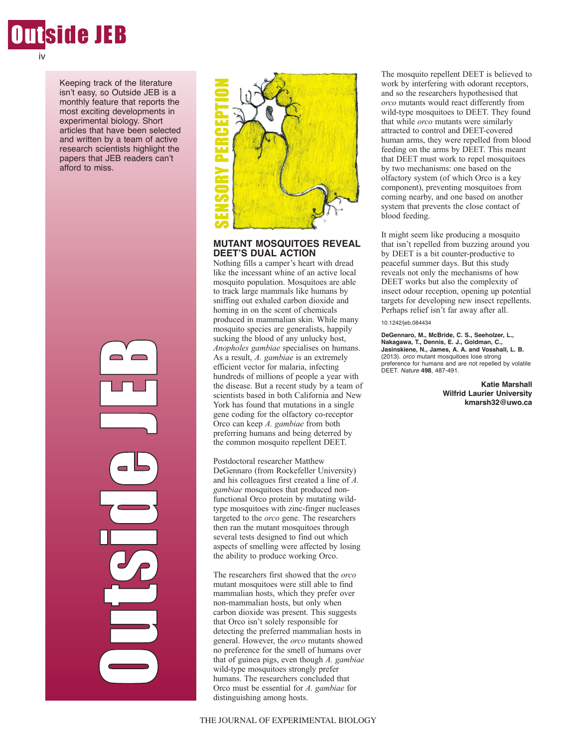

Keeping track of the literature isn't easy, so Outside JEB is a monthly feature that reports the most exciting developments in experimental biology. Short articles that have been selected and written by a team of active research scientists highlight the papers that JEB readers can't afford to miss.

> Ou poznati za poznati za poznati za poznati za poznati za poznati za poznati za zati za zati za zati za zati za<br>Uzora <u>the limit</u>  $\mathcal{C}_{\mathcal{P}}$ in 1999 and 1999. d<br>O e J E**P**



# **MUTANT MOSQUITOES REVEAL DEET'S DUAL ACTION**

Nothing fills a camper's heart with dread like the incessant whine of an active local mosquito population. Mosquitoes are able to track large mammals like humans by sniffing out exhaled carbon dioxide and homing in on the scent of chemicals produced in mammalian skin. While many mosquito species are generalists, happily sucking the blood of any unlucky host, *Anopholes gambiae* specialises on humans. As a result, *A. gambiae* is an extremely efficient vector for malaria, infecting hundreds of millions of people a year with the disease. But a recent study by a team of scientists based in both California and New York has found that mutations in a single gene coding for the olfactory co-receptor Orco can keep *A. gambiae* from both preferring humans and being deterred by the common mosquito repellent DEET. **EXERCE THE SENSOR AMOREM SENSOR AMOREM SENSOR AND MUTANT MOSQUITO DEET'S DUAL ACTION NOTHING THIS a camper's head of mosquito population.** Mosqui to mosquito population. Mosqui sin mosquito population homing in on the sen

Postdoctoral researcher Matthew DeGennaro (from Rockefeller University) and his colleagues first created a line of *A. gambiae* mosquitoes that produced nonfunctional Orco protein by mutating wildtype mosquitoes with zinc-finger nucleases targeted to the *orco* gene. The researchers then ran the mutant mosquitoes through several tests designed to find out which aspects of smelling were affected by losing the ability to produce working Orco.

The researchers first showed that the *orco* mutant mosquitoes were still able to find mammalian hosts, which they prefer over non-mammalian hosts, but only when carbon dioxide was present. This suggests that Orco isn't solely responsible for detecting the preferred mammalian hosts in general. However, the *orco* mutants showed no preference for the smell of humans over that of guinea pigs, even though *A. gambiae* wild-type mosquitoes strongly prefer humans. The researchers concluded that Orco must be essential for *A. gambiae* for distinguishing among hosts.

The mosquito repellent DEET is believed to work by interfering with odorant receptors, and so the researchers hypothesised that *orco* mutants would react differently from wild-type mosquitoes to DEET. They found that while *orco* mutants were similarly attracted to control and DEET-covered human arms, they were repelled from blood feeding on the arms by DEET. This meant that DEET must work to repel mosquitoes by two mechanisms: one based on the olfactory system (of which Orco is a key component), preventing mosquitoes from coming nearby, and one based on another system that prevents the close contact of blood feeding.

It might seem like producing a mosquito that isn't repelled from buzzing around you by DEET is a bit counter-productive to peaceful summer days. But this study reveals not only the mechanisms of how DEET works but also the complexity of insect odour reception, opening up potential targets for developing new insect repellents. Perhaps relief isn't far away after all.

#### 10.1242/jeb.084434

**DeGennaro, M., McBride, C. S., Seeholzer, L., Nakagawa, T., Dennis, E. J., Goldman, C., Jasinskiene, N., James, A. A. and Vosshall, L. B.** (2013). *orco* mutant mosquitoes lose strong preference for humans and are not repelled by volatile DEET. *Nature* **498**, 487-491.

> **Katie Marshall Wilfrid Laurier University kmarsh32@uwo.ca**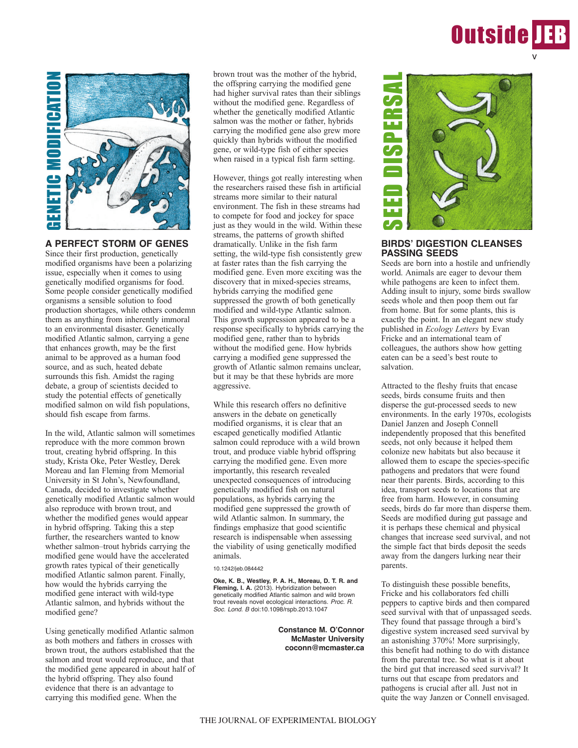



### **A PERFECT STORM OF GENES**

Since their first production, genetically modified organisms have been a polarizing issue, especially when it comes to using genetically modified organisms for food. Some people consider genetically modified organisms a sensible solution to food production shortages, while others condemn them as anything from inherently immoral to an environmental disaster. Genetically modified Atlantic salmon, carrying a gene that enhances growth, may be the first animal to be approved as a human food source, and as such, heated debate surrounds this fish. Amidst the raging debate, a group of scientists decided to study the potential effects of genetically modified salmon on wild fish populations, should fish escape from farms.

In the wild, Atlantic salmon will sometimes reproduce with the more common brown trout, creating hybrid offspring. In this study, Krista Oke, Peter Westley, Derek Moreau and Ian Fleming from Memorial University in St John's, Newfoundland, Canada, decided to investigate whether genetically modified Atlantic salmon would also reproduce with brown trout, and whether the modified genes would appear in hybrid offspring. Taking this a step further, the researchers wanted to know whether salmon–trout hybrids carrying the modified gene would have the accelerated growth rates typical of their genetically modified Atlantic salmon parent. Finally, how would the hybrids carrying the modified gene interact with wild-type Atlantic salmon, and hybrids without the modified gene?

Using genetically modified Atlantic salmon as both mothers and fathers in crosses with brown trout, the authors established that the salmon and trout would reproduce, and that the modified gene appeared in about half of the hybrid offspring. They also found evidence that there is an advantage to carrying this modified gene. When the

brown trout was the mother of the hybrid, the offspring carrying the modified gene had higher survival rates than their siblings without the modified gene. Regardless of whether the genetically modified Atlantic salmon was the mother or father, hybrids carrying the modified gene also grew more quickly than hybrids without the modified gene, or wild-type fish of either species when raised in a typical fish farm setting.

However, things got really interesting when the researchers raised these fish in artificial streams more similar to their natural environment. The fish in these streams had to compete for food and jockey for space just as they would in the wild. Within these streams, the patterns of growth shifted dramatically. Unlike in the fish farm setting, the wild-type fish consistently grew at faster rates than the fish carrying the modified gene. Even more exciting was the discovery that in mixed-species streams, hybrids carrying the modified gene suppressed the growth of both genetically modified and wild-type Atlantic salmon. This growth suppression appeared to be a response specifically to hybrids carrying the modified gene, rather than to hybrids without the modified gene. How hybrids carrying a modified gene suppressed the growth of Atlantic salmon remains unclear, but it may be that these hybrids are more aggressive.

While this research offers no definitive answers in the debate on genetically modified organisms, it is clear that an escaped genetically modified Atlantic salmon could reproduce with a wild brown trout, and produce viable hybrid offspring carrying the modified gene. Even more importantly, this research revealed unexpected consequences of introducing genetically modified fish on natural populations, as hybrids carrying the modified gene suppressed the growth of wild Atlantic salmon. In summary, the findings emphasize that good scientific research is indispensable when assessing the viability of using genetically modified animals.

10.1242/jeb.084442

**Oke, K. B., Westley, P. A. H., Moreau, D. T. R. and Fleming, I. A.** (2013). Hybridization between genetically modified Atlantic salmon and wild brown trout reveals novel ecological interactions. *Proc. R. Soc. Lond. B* doi:10.1098/rspb.2013.1047

> **Constance M. O'Connor McMaster University coconn@mcmaster.ca**



## **BIRDS' DIGESTION CLEANSES PASSING SEEDS**

Seeds are born into a hostile and unfriendly world. Animals are eager to devour them while pathogens are keen to infect them. Adding insult to injury, some birds swallow seeds whole and then poop them out far from home. But for some plants, this is exactly the point. In an elegant new study published in *Ecology Letters* by Evan Fricke and an international team of colleagues, the authors show how getting eaten can be a seed's best route to salvation.

Attracted to the fleshy fruits that encase seeds, birds consume fruits and then disperse the gut-processed seeds to new environments. In the early 1970s, ecologists Daniel Janzen and Joseph Connell independently proposed that this benefited seeds, not only because it helped them colonize new habitats but also because it allowed them to escape the species-specific pathogens and predators that were found near their parents. Birds, according to this idea, transport seeds to locations that are free from harm. However, in consuming seeds, birds do far more than disperse them. Seeds are modified during gut passage and it is perhaps these chemical and physical changes that increase seed survival, and not the simple fact that birds deposit the seeds away from the dangers lurking near their parents.

To distinguish these possible benefits, Fricke and his collaborators fed chilli peppers to captive birds and then compared seed survival with that of unpassaged seeds. They found that passage through a bird's digestive system increased seed survival by an astonishing 370%! More surprisingly, this benefit had nothing to do with distance from the parental tree. So what is it about the bird gut that increased seed survival? It turns out that escape from predators and pathogens is crucial after all. Just not in quite the way Janzen or Connell envisaged.